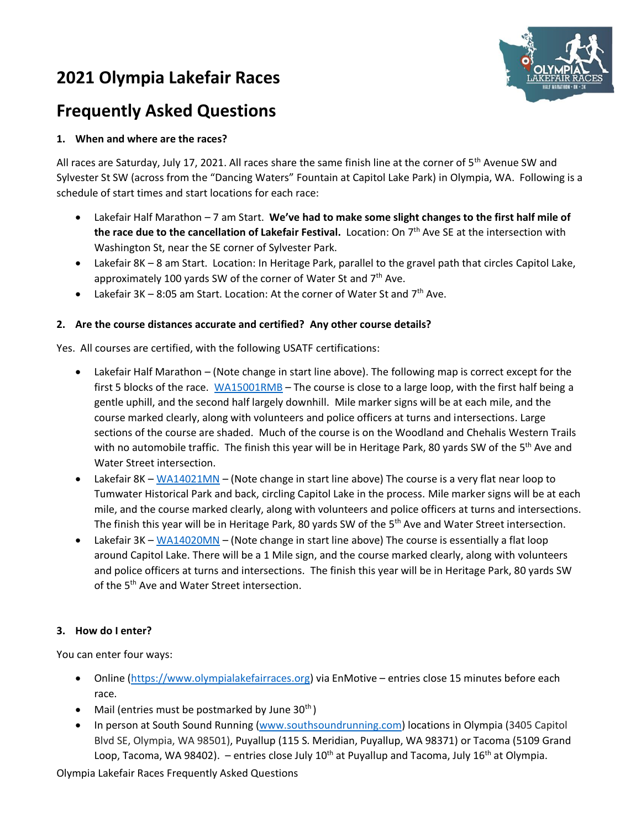# **2021 Olympia Lakefair Races**



## **Frequently Asked Questions**

## **1. When and where are the races?**

All races are Saturday, July 17, 2021. All races share the same finish line at the corner of 5<sup>th</sup> Avenue SW and Sylvester St SW (across from the "Dancing Waters" Fountain at Capitol Lake Park) in Olympia, WA. Following is a schedule of start times and start locations for each race:

- Lakefair Half Marathon 7 am Start. **We've had to make some slight changes to the first half mile of**  th<mark>e race due to the cancellation of Lakefair Festival.</mark> Location: On 7<sup>th</sup> Ave SE at the intersection with Washington St, near the SE corner of Sylvester Park.
- Lakefair 8K 8 am Start. Location: In Heritage Park, parallel to the gravel path that circles Capitol Lake, approximately 100 yards SW of the corner of Water St and  $7<sup>th</sup>$  Ave.
- Lakefair  $3K 8:05$  am Start. Location: At the corner of Water St and  $7<sup>th</sup>$  Ave.

## **2. Are the course distances accurate and certified? Any other course details?**

Yes. All courses are certified, with the following USATF certifications:

- Lakefair Half Marathon (Note change in start line above). The following map is correct except for the first 5 blocks of the race. [WA15001RMB](http://www.usatf.org/events/courses/maps/showMap.asp?courseID=WA15001RMB) – The course is close to a large loop, with the first half being a gentle uphill, and the second half largely downhill. Mile marker signs will be at each mile, and the course marked clearly, along with volunteers and police officers at turns and intersections. Large sections of the course are shaded. Much of the course is on the Woodland and Chehalis Western Trails with no automobile traffic. The finish this year will be in Heritage Park, 80 yards SW of the 5<sup>th</sup> Ave and Water Street intersection.
- Lakefair 8K [WA14021MN](http://www.usatf.org/events/courses/maps/showMap.asp?courseID=WA14021MN) (Note change in start line above) The course is a very flat near loop to Tumwater Historical Park and back, circling Capitol Lake in the process. Mile marker signs will be at each mile, and the course marked clearly, along with volunteers and police officers at turns and intersections. The finish this year will be in Heritage Park, 80 yards SW of the 5<sup>th</sup> Ave and Water Street intersection.
- Lakefair 3K [WA14020MN](http://www.usatf.org/events/courses/maps/showMap.asp?courseID=WA14020MN) (Note change in start line above) The course is essentially a flat loop around Capitol Lake. There will be a 1 Mile sign, and the course marked clearly, along with volunteers and police officers at turns and intersections. The finish this year will be in Heritage Park, 80 yards SW of the 5<sup>th</sup> Ave and Water Street intersection.

#### **3. How do I enter?**

You can enter four ways:

- Online [\(https://www.olympialakefairraces.org\)](https://www.olympialakefairraces.org/) via EnMotive entries close 15 minutes before each race.
- Mail (entries must be postmarked by June  $30<sup>th</sup>$ )
- In person at South Sound Running [\(www.southsoundrunning.com\)](http://www.southsoundrunning.com/) locations in Olympia (3405 Capitol Blvd SE, Olympia, WA 98501), Puyallup (115 S. Meridian, Puyallup, WA 98371) or Tacoma (5109 Grand Loop, Tacoma, WA 98402). – entries close July 10<sup>th</sup> at Puyallup and Tacoma, July 16<sup>th</sup> at Olympia.

Olympia Lakefair Races Frequently Asked Questions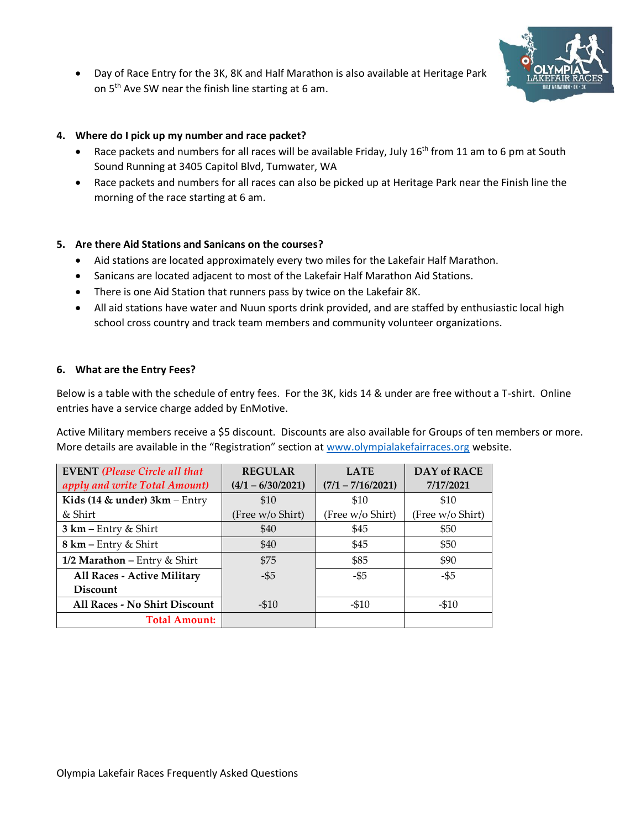

• Day of Race Entry for the 3K, 8K and Half Marathon is also available at Heritage Park on  $5<sup>th</sup>$  Ave SW near the finish line starting at 6 am.

## **4. Where do I pick up my number and race packet?**

- Race packets and numbers for all races will be available Friday, July  $16^{th}$  from 11 am to 6 pm at South Sound Running at 3405 Capitol Blvd, Tumwater, WA
- Race packets and numbers for all races can also be picked up at Heritage Park near the Finish line the morning of the race starting at 6 am.

## **5. Are there Aid Stations and Sanicans on the courses?**

- Aid stations are located approximately every two miles for the Lakefair Half Marathon.
- Sanicans are located adjacent to most of the Lakefair Half Marathon Aid Stations.
- There is one Aid Station that runners pass by twice on the Lakefair 8K.
- All aid stations have water and Nuun sports drink provided, and are staffed by enthusiastic local high school cross country and track team members and community volunteer organizations.

#### **6. What are the Entry Fees?**

Below is a table with the schedule of entry fees. For the 3K, kids 14 & under are free without a T-shirt. Online entries have a service charge added by EnMotive.

Active Military members receive a \$5 discount. Discounts are also available for Groups of ten members or more. More details are available in the "Registration" section at [www.olympialakefairraces.org](http://www.olympialakefairraces.org/) website.

| <b>EVENT</b> (Please Circle all that | <b>REGULAR</b>      | <b>LATE</b>         | <b>DAY of RACE</b> |
|--------------------------------------|---------------------|---------------------|--------------------|
| apply and write Total Amount)        | $(4/1 - 6/30/2021)$ | $(7/1 - 7/16/2021)$ | 7/17/2021          |
| Kids (14 $\&$ under) 3km – Entry     | \$10                | \$10                | \$10               |
| & Shirt                              | (Free w/o Shirt)    | (Free w/o Shirt)    | (Free w/o Shirt)   |
| $3 km - Entry & Shift$               | \$40                | \$45                | \$50               |
| $8 \text{ km}$ – Entry & Shirt       | \$40                | \$45                | \$50               |
| 1/2 Marathon - Entry & Shirt         | \$75                | \$85                | \$90               |
| All Races - Active Military          | $-55$               | -\$5                | -\$5               |
| <b>Discount</b>                      |                     |                     |                    |
| All Races - No Shirt Discount        | $- $10$             | $- $10$             | $-510$             |
| <b>Total Amount:</b>                 |                     |                     |                    |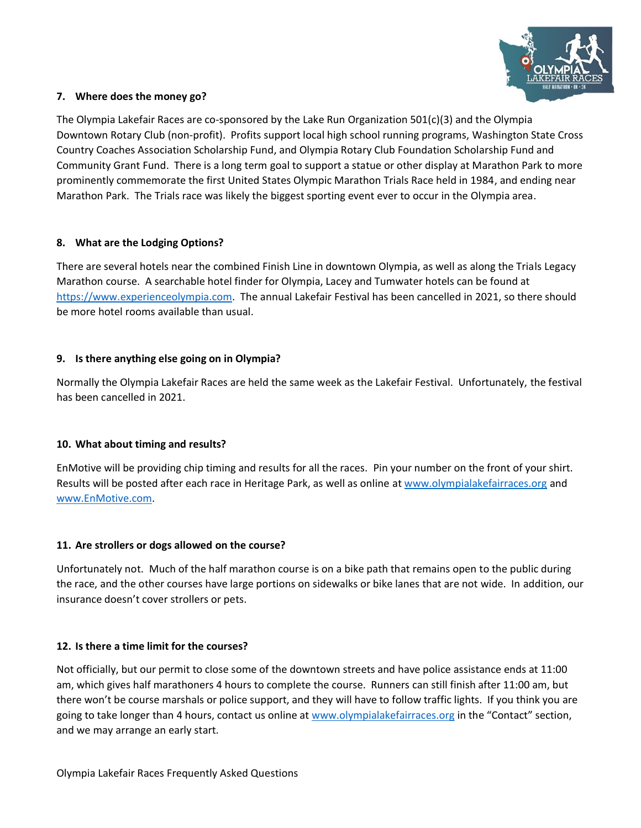

### **7. Where does the money go?**

The Olympia Lakefair Races are co-sponsored by the Lake Run Organization 501(c)(3) and the Olympia Downtown Rotary Club (non-profit). Profits support local high school running programs, Washington State Cross Country Coaches Association Scholarship Fund, and Olympia Rotary Club Foundation Scholarship Fund and Community Grant Fund. There is a long term goal to support a statue or other display at Marathon Park to more prominently commemorate the first United States Olympic Marathon Trials Race held in 1984, and ending near Marathon Park. The Trials race was likely the biggest sporting event ever to occur in the Olympia area.

## **8. What are the Lodging Options?**

There are several hotels near the combined Finish Line in downtown Olympia, as well as along the Trials Legacy Marathon course. A searchable hotel finder for Olympia, Lacey and Tumwater hotels can be found at [https://www.experienceolympia.com.](https://www.experienceolympia.com/hotels/hotels/) The annual Lakefair Festival has been cancelled in 2021, so there should be more hotel rooms available than usual.

## **9. Is there anything else going on in Olympia?**

Normally the Olympia Lakefair Races are held the same week as the Lakefair Festival. Unfortunately, the festival has been cancelled in 2021.

#### **10. What about timing and results?**

EnMotive will be providing chip timing and results for all the races. Pin your number on the front of your shirt. Results will be posted after each race in Heritage Park, as well as online at [www.olympialakefairraces.org](https://cascadeenergyinc-my.sharepoint.com/personal/bob_brennand_energysmartindustrial_com/Documents/User%20Profile/Documents/aaBob%20-%20old%20PC/Run%20Meas/OLR%202019/Website/www.olympialakefairraces.org) and [www.EnMotive.com.](https://cascadeenergyinc-my.sharepoint.com/personal/bob_brennand_energysmartindustrial_com/Documents/User%20Profile/Documents/aaBob%20-%20old%20PC/Running%20Measurement/OLR%202018/www.racewire.com)

#### **11. Are strollers or dogs allowed on the course?**

Unfortunately not. Much of the half marathon course is on a bike path that remains open to the public during the race, and the other courses have large portions on sidewalks or bike lanes that are not wide. In addition, our insurance doesn't cover strollers or pets.

#### **12. Is there a time limit for the courses?**

Not officially, but our permit to close some of the downtown streets and have police assistance ends at 11:00 am, which gives half marathoners 4 hours to complete the course. Runners can still finish after 11:00 am, but there won't be course marshals or police support, and they will have to follow traffic lights. If you think you are going to take longer than 4 hours, contact us online at [www.olympialakefairraces.org](https://cascadeenergyinc-my.sharepoint.com/personal/bob_brennand_energysmartindustrial_com/Documents/User%20Profile/Documents/aaBob%20-%20old%20PC/Run%20Meas/OLR%202019/Website/www.olympialakefairraces.org) in the "Contact" section, and we may arrange an early start.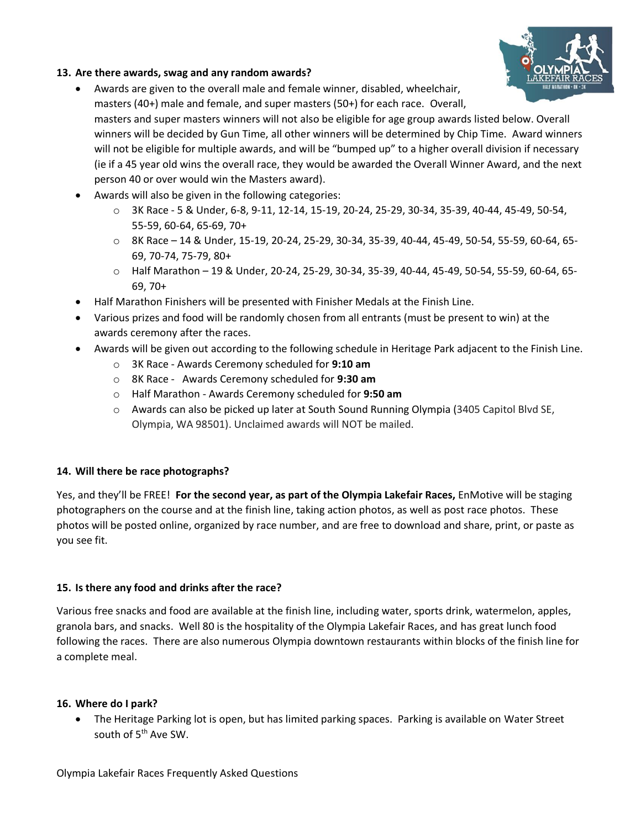

## **13. Are there awards, swag and any random awards?**

• Awards are given to the overall male and female winner, disabled, wheelchair, masters (40+) male and female, and super masters (50+) for each race. Overall,

masters and super masters winners will not also be eligible for age group awards listed below. Overall winners will be decided by Gun Time, all other winners will be determined by Chip Time. Award winners will not be eligible for multiple awards, and will be "bumped up" to a higher overall division if necessary (ie if a 45 year old wins the overall race, they would be awarded the Overall Winner Award, and the next person 40 or over would win the Masters award).

- Awards will also be given in the following categories:
	- o 3K Race 5 & Under, 6-8, 9-11, 12-14, 15-19, 20-24, 25-29, 30-34, 35-39, 40-44, 45-49, 50-54, 55-59, 60-64, 65-69, 70+
	- o 8K Race 14 & Under, 15-19, 20-24, 25-29, 30-34, 35-39, 40-44, 45-49, 50-54, 55-59, 60-64, 65- 69, 70-74, 75-79, 80+
	- o Half Marathon 19 & Under, 20-24, 25-29, 30-34, 35-39, 40-44, 45-49, 50-54, 55-59, 60-64, 65- 69, 70+
- Half Marathon Finishers will be presented with Finisher Medals at the Finish Line.
- Various prizes and food will be randomly chosen from all entrants (must be present to win) at the awards ceremony after the races.
- Awards will be given out according to the following schedule in Heritage Park adjacent to the Finish Line.
	- o 3K Race Awards Ceremony scheduled for **9:10 am**
	- o 8K Race Awards Ceremony scheduled for **9:30 am**
	- o Half Marathon Awards Ceremony scheduled for **9:50 am**
	- o Awards can also be picked up later at South Sound Running Olympia (3405 Capitol Blvd SE, Olympia, WA 98501). Unclaimed awards will NOT be mailed.

## **14. Will there be race photographs?**

Yes, and they'll be FREE! **For the second year, as part of the Olympia Lakefair Races,** EnMotive will be staging photographers on the course and at the finish line, taking action photos, as well as post race photos. These photos will be posted online, organized by race number, and are free to download and share, print, or paste as you see fit.

## **15. Is there any food and drinks after the race?**

Various free snacks and food are available at the finish line, including water, sports drink, watermelon, apples, granola bars, and snacks. Well 80 is the hospitality of the Olympia Lakefair Races, and has great lunch food following the races. There are also numerous Olympia downtown restaurants within blocks of the finish line for a complete meal.

#### **16. Where do I park?**

• The Heritage Parking lot is open, but has limited parking spaces. Parking is available on Water Street south of 5<sup>th</sup> Ave SW.